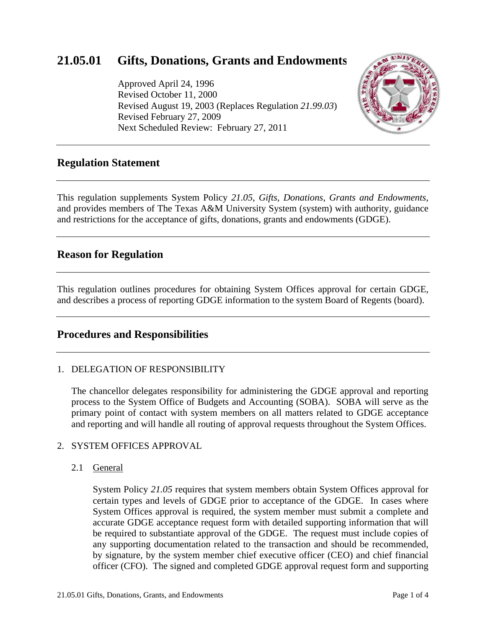# **21.05.01 Gifts, Donations, Grants and Endowments**

Approved April 24, 1996 Revised October 11, 2000 Revised August 19, 2003 (Replaces Regulation *21.99.03*) Revised February 27, 2009 Next Scheduled Review: February 27, 2011



## **Regulation Statement**

This regulation supplements System Policy *21.05, Gifts, Donations, Grants and Endowments*, and provides members of The Texas A&M University System (system) with authority, guidance and restrictions for the acceptance of gifts, donations, grants and endowments (GDGE).

## **Reason for Regulation**

This regulation outlines procedures for obtaining System Offices approval for certain GDGE, and describes a process of reporting GDGE information to the system Board of Regents (board).

## **Procedures and Responsibilities**

#### 1. DELEGATION OF RESPONSIBILITY

The chancellor delegates responsibility for administering the GDGE approval and reporting process to the System Office of Budgets and Accounting (SOBA). SOBA will serve as the primary point of contact with system members on all matters related to GDGE acceptance and reporting and will handle all routing of approval requests throughout the System Offices.

#### 2. SYSTEM OFFICES APPROVAL

#### 2.1 General

System Policy *21.05* requires that system members obtain System Offices approval for certain types and levels of GDGE prior to acceptance of the GDGE. In cases where System Offices approval is required, the system member must submit a complete and accurate GDGE acceptance request form with detailed supporting information that will be required to substantiate approval of the GDGE. The request must include copies of any supporting documentation related to the transaction and should be recommended, by signature, by the system member chief executive officer (CEO) and chief financial officer (CFO). The signed and completed GDGE approval request form and supporting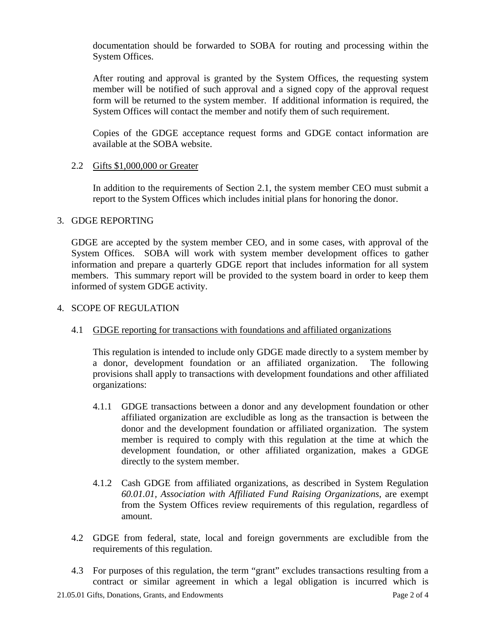documentation should be forwarded to SOBA for routing and processing within the System Offices.

After routing and approval is granted by the System Offices, the requesting system member will be notified of such approval and a signed copy of the approval request form will be returned to the system member. If additional information is required, the System Offices will contact the member and notify them of such requirement.

Copies of the GDGE acceptance request forms and GDGE contact information are available at the SOBA website.

#### 2.2 Gifts \$1,000,000 or Greater

In addition to the requirements of Section 2.1, the system member CEO must submit a report to the System Offices which includes initial plans for honoring the donor.

#### 3. GDGE REPORTING

GDGE are accepted by the system member CEO, and in some cases, with approval of the System Offices. SOBA will work with system member development offices to gather information and prepare a quarterly GDGE report that includes information for all system members. This summary report will be provided to the system board in order to keep them informed of system GDGE activity.

#### 4. SCOPE OF REGULATION

### 4.1 GDGE reporting for transactions with foundations and affiliated organizations

This regulation is intended to include only GDGE made directly to a system member by a donor, development foundation or an affiliated organization. The following provisions shall apply to transactions with development foundations and other affiliated organizations:

- 4.1.1 GDGE transactions between a donor and any development foundation or other affiliated organization are excludible as long as the transaction is between the donor and the development foundation or affiliated organization. The system member is required to comply with this regulation at the time at which the development foundation, or other affiliated organization, makes a GDGE directly to the system member.
- 4.1.2 Cash GDGE from affiliated organizations, as described in System Regulation *60.01.01, Association with Affiliated Fund Raising Organizations*, are exempt from the System Offices review requirements of this regulation, regardless of amount.
- 4.2 GDGE from federal, state, local and foreign governments are excludible from the requirements of this regulation.
- 4.3 For purposes of this regulation, the term "grant" excludes transactions resulting from a contract or similar agreement in which a legal obligation is incurred which is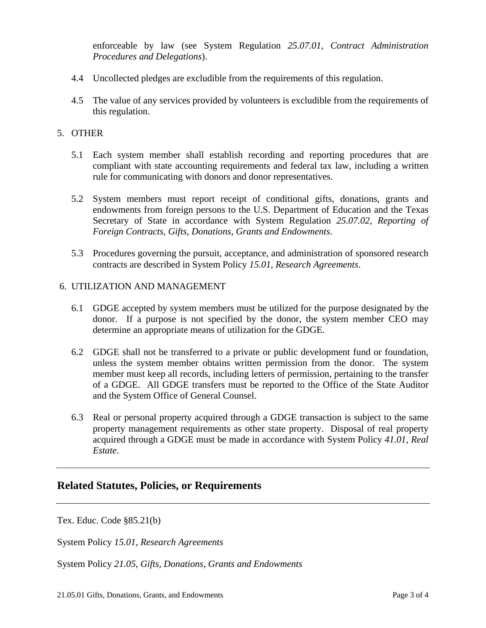enforceable by law (see System Regulation *25.07.01, Contract Administration Procedures and Delegations*).

- 4.4 Uncollected pledges are excludible from the requirements of this regulation.
- 4.5 The value of any services provided by volunteers is excludible from the requirements of this regulation.

#### 5. OTHER

- 5.1 Each system member shall establish recording and reporting procedures that are compliant with state accounting requirements and federal tax law, including a written rule for communicating with donors and donor representatives.
- 5.2 System members must report receipt of conditional gifts, donations, grants and endowments from foreign persons to the U.S. Department of Education and the Texas Secretary of State in accordance with System Regulation *25.07.02, Reporting of Foreign Contracts, Gifts, Donations, Grants and Endowments*.
- 5.3 Procedures governing the pursuit, acceptance, and administration of sponsored research contracts are described in System Policy *15.01, Research Agreements*.

#### 6. UTILIZATION AND MANAGEMENT

- 6.1 GDGE accepted by system members must be utilized for the purpose designated by the donor. If a purpose is not specified by the donor, the system member CEO may determine an appropriate means of utilization for the GDGE.
- 6.2 GDGE shall not be transferred to a private or public development fund or foundation, unless the system member obtains written permission from the donor. The system member must keep all records, including letters of permission, pertaining to the transfer of a GDGE. All GDGE transfers must be reported to the Office of the State Auditor and the System Office of General Counsel.
- 6.3 Real or personal property acquired through a GDGE transaction is subject to the same property management requirements as other state property. Disposal of real property acquired through a GDGE must be made in accordance with System Policy *41.01, Real Estate*.

### **Related Statutes, Policies, or Requirements**

[Tex. Educ. Code §85.21\(b\)](http://www.statutes.legis.state.tx.us/SOTWDocs/ED/htm/ED.85.htm#85.21) 

System Policy *[15.01, Research Agreements](http://www.tamus.edu/offices/policy/policies/pdf/15-01.pdf)*

System Policy *[21.05, Gifts, Donations, Grants and Endowments](http://www.tamus.edu/offices/policy/policies/pdf/21-05.pdf)*